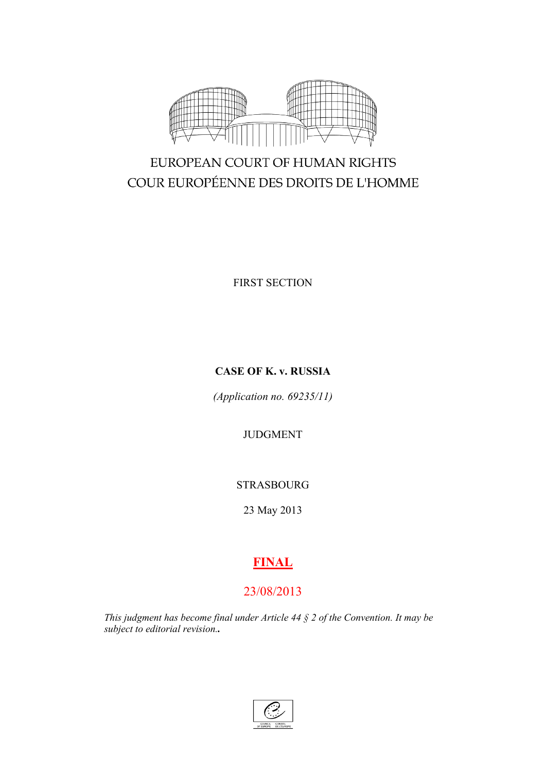

# EUROPEAN COURT OF HUMAN RIGHTS COUR EUROPÉENNE DES DROITS DE L'HOMME

FIRST SECTION

## **CASE OF K. v. RUSSIA**

*(Application no. 69235/11)*

## JUDGMENT

STRASBOURG

23 May 2013

# **FINAL**

## 23/08/2013

*This judgment has become final under Article 44 § 2 of the Convention. It may be subject to editorial revision..*

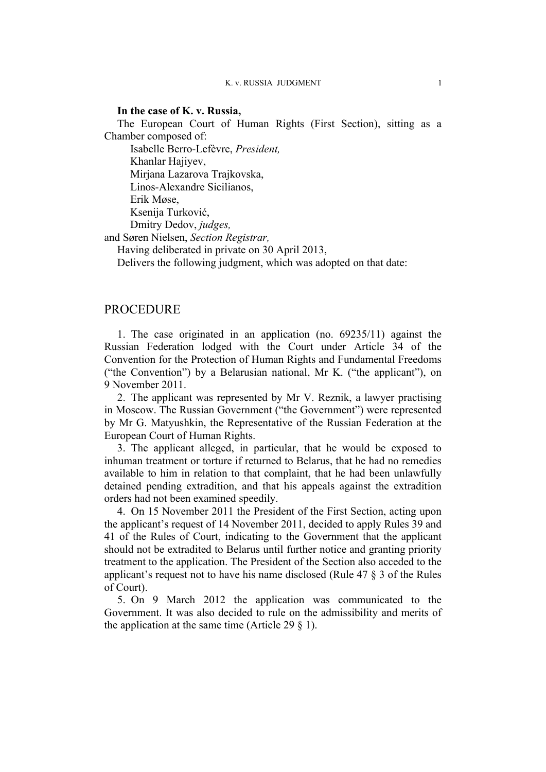### **In the case of K. v. Russia,**

The European Court of Human Rights (First Section), sitting as a Chamber composed of:

Isabelle Berro-Lefèvre, *President,*

Khanlar Hajiyev,

Mirjana Lazarova Trajkovska,

Linos-Alexandre Sicilianos,

Erik Møse,

Ksenija Turković,

Dmitry Dedov, *judges,*

and Søren Nielsen, *Section Registrar,*

Having deliberated in private on 30 April 2013,

Delivers the following judgment, which was adopted on that date:

## **PROCEDURE**

1. The case originated in an application (no. 69235/11) against the Russian Federation lodged with the Court under Article 34 of the Convention for the Protection of Human Rights and Fundamental Freedoms ("the Convention") by a Belarusian national, Mr K. ("the applicant"), on 9 November 2011.

2. The applicant was represented by Mr V. Reznik, a lawyer practising in Moscow. The Russian Government ("the Government") were represented by Mr G. Matyushkin, the Representative of the Russian Federation at the European Court of Human Rights.

3. The applicant alleged, in particular, that he would be exposed to inhuman treatment or torture if returned to Belarus, that he had no remedies available to him in relation to that complaint, that he had been unlawfully detained pending extradition, and that his appeals against the extradition orders had not been examined speedily.

<span id="page-2-0"></span>4. On 15 November 2011 the President of the First Section, acting upon the applicant's request of 14 November 2011, decided to apply Rules 39 and 41 of the Rules of Court, indicating to the Government that the applicant should not be extradited to Belarus until further notice and granting priority treatment to the application. The President of the Section also acceded to the applicant's request not to have his name disclosed (Rule 47 § 3 of the Rules of Court).

5. On 9 March 2012 the application was communicated to the Government. It was also decided to rule on the admissibility and merits of the application at the same time (Article 29  $\S$  1).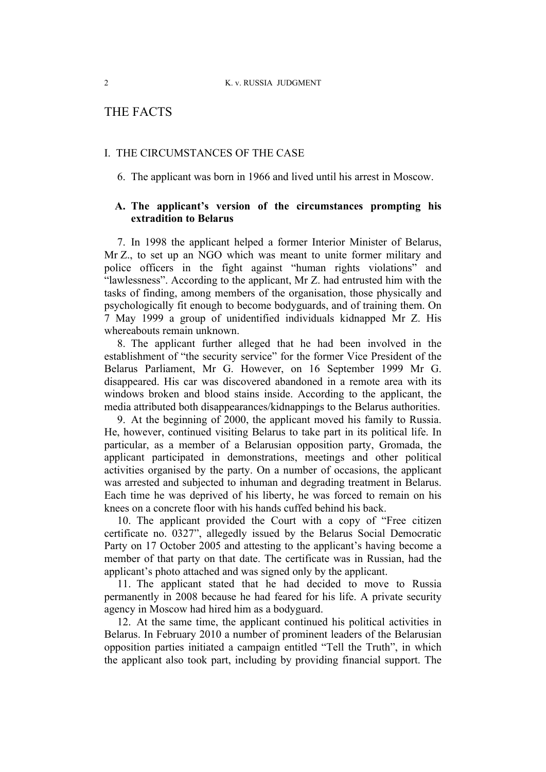## THE FACTS

### I. THE CIRCUMSTANCES OF THE CASE

6. The applicant was born in 1966 and lived until his arrest in Moscow.

## **A. The applicant's version of the circumstances prompting his extradition to Belarus**

7. In 1998 the applicant helped a former Interior Minister of Belarus, Mr Z., to set up an NGO which was meant to unite former military and police officers in the fight against "human rights violations" and "lawlessness". According to the applicant, Mr Z. had entrusted him with the tasks of finding, among members of the organisation, those physically and psychologically fit enough to become bodyguards, and of training them. On 7 May 1999 a group of unidentified individuals kidnapped Mr Z. His whereabouts remain unknown.

8. The applicant further alleged that he had been involved in the establishment of "the security service" for the former Vice President of the Belarus Parliament, Mr G. However, on 16 September 1999 Mr G. disappeared. His car was discovered abandoned in a remote area with its windows broken and blood stains inside. According to the applicant, the media attributed both disappearances/kidnappings to the Belarus authorities.

9. At the beginning of 2000, the applicant moved his family to Russia. He, however, continued visiting Belarus to take part in its political life. In particular, as a member of a Belarusian opposition party, Gromada, the applicant participated in demonstrations, meetings and other political activities organised by the party. On a number of occasions, the applicant was arrested and subjected to inhuman and degrading treatment in Belarus. Each time he was deprived of his liberty, he was forced to remain on his knees on a concrete floor with his hands cuffed behind his back.

10. The applicant provided the Court with a copy of "Free citizen certificate no. 0327", allegedly issued by the Belarus Social Democratic Party on 17 October 2005 and attesting to the applicant's having become a member of that party on that date. The certificate was in Russian, had the applicant's photo attached and was signed only by the applicant.

11. The applicant stated that he had decided to move to Russia permanently in 2008 because he had feared for his life. A private security agency in Moscow had hired him as a bodyguard.

12. At the same time, the applicant continued his political activities in Belarus. In February 2010 a number of prominent leaders of the Belarusian opposition parties initiated a campaign entitled "Tell the Truth", in which the applicant also took part, including by providing financial support. The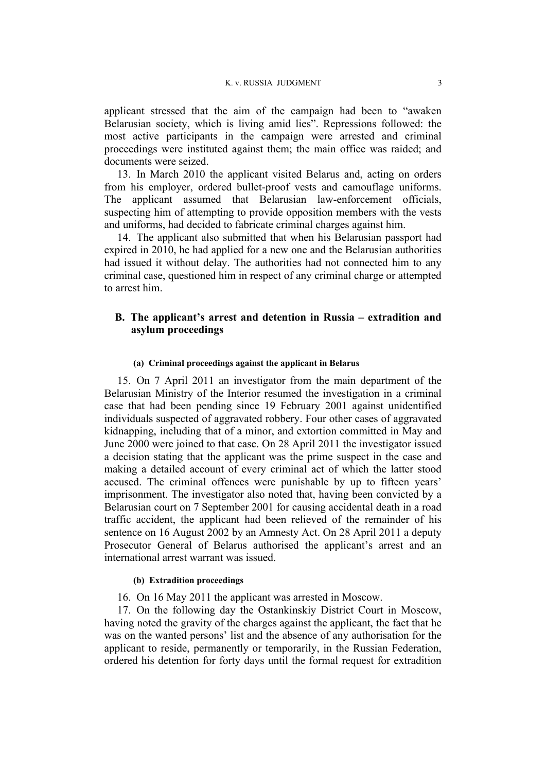applicant stressed that the aim of the campaign had been to "awaken Belarusian society, which is living amid lies". Repressions followed: the most active participants in the campaign were arrested and criminal proceedings were instituted against them; the main office was raided; and documents were seized.

13. In March 2010 the applicant visited Belarus and, acting on orders from his employer, ordered bullet-proof vests and camouflage uniforms. The applicant assumed that Belarusian law-enforcement officials, suspecting him of attempting to provide opposition members with the vests and uniforms, had decided to fabricate criminal charges against him.

14. The applicant also submitted that when his Belarusian passport had expired in 2010, he had applied for a new one and the Belarusian authorities had issued it without delay. The authorities had not connected him to any criminal case, questioned him in respect of any criminal charge or attempted to arrest him.

## **B. The applicant's arrest and detention in Russia – extradition and asylum proceedings**

#### **(a) Criminal proceedings against the applicant in Belarus**

15. On 7 April 2011 an investigator from the main department of the Belarusian Ministry of the Interior resumed the investigation in a criminal case that had been pending since 19 February 2001 against unidentified individuals suspected of aggravated robbery. Four other cases of aggravated kidnapping, including that of a minor, and extortion committed in May and June 2000 were joined to that case. On 28 April 2011 the investigator issued a decision stating that the applicant was the prime suspect in the case and making a detailed account of every criminal act of which the latter stood accused. The criminal offences were punishable by up to fifteen years' imprisonment. The investigator also noted that, having been convicted by a Belarusian court on 7 September 2001 for causing accidental death in a road traffic accident, the applicant had been relieved of the remainder of his sentence on 16 August 2002 by an Amnesty Act. On 28 April 2011 a deputy Prosecutor General of Belarus authorised the applicant's arrest and an international arrest warrant was issued.

#### **(b) Extradition proceedings**

<span id="page-4-0"></span>16. On 16 May 2011 the applicant was arrested in Moscow.

17. On the following day the Ostankinskiy District Court in Moscow, having noted the gravity of the charges against the applicant, the fact that he was on the wanted persons' list and the absence of any authorisation for the applicant to reside, permanently or temporarily, in the Russian Federation, ordered his detention for forty days until the formal request for extradition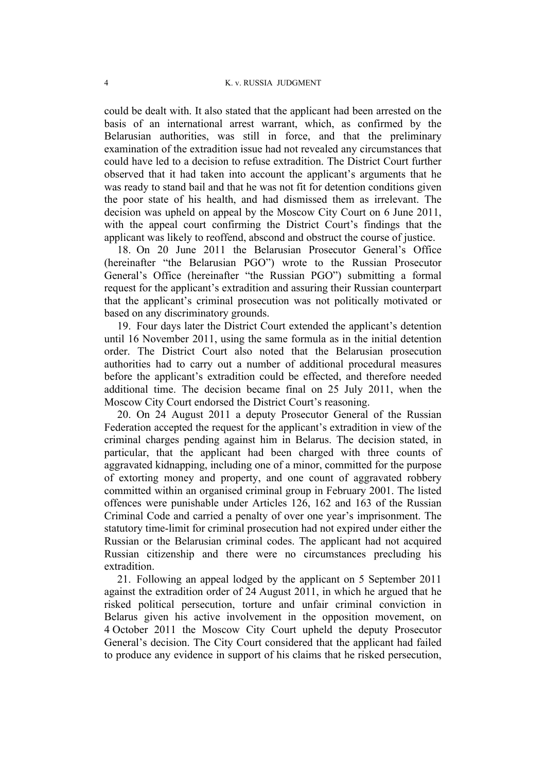could be dealt with. It also stated that the applicant had been arrested on the basis of an international arrest warrant, which, as confirmed by the Belarusian authorities, was still in force, and that the preliminary examination of the extradition issue had not revealed any circumstances that could have led to a decision to refuse extradition. The District Court further observed that it had taken into account the applicant's arguments that he was ready to stand bail and that he was not fit for detention conditions given the poor state of his health, and had dismissed them as irrelevant. The decision was upheld on appeal by the Moscow City Court on 6 June 2011, with the appeal court confirming the District Court's findings that the applicant was likely to reoffend, abscond and obstruct the course of justice.

<span id="page-5-0"></span>18. On 20 June 2011 the Belarusian Prosecutor General's Office (hereinafter "the Belarusian PGO") wrote to the Russian Prosecutor General's Office (hereinafter "the Russian PGO") submitting a formal request for the applicant's extradition and assuring their Russian counterpart that the applicant's criminal prosecution was not politically motivated or based on any discriminatory grounds.

19. Four days later the District Court extended the applicant's detention until 16 November 2011, using the same formula as in the initial detention order. The District Court also noted that the Belarusian prosecution authorities had to carry out a number of additional procedural measures before the applicant's extradition could be effected, and therefore needed additional time. The decision became final on 25 July 2011, when the Moscow City Court endorsed the District Court's reasoning.

20. On 24 August 2011 a deputy Prosecutor General of the Russian Federation accepted the request for the applicant's extradition in view of the criminal charges pending against him in Belarus. The decision stated, in particular, that the applicant had been charged with three counts of aggravated kidnapping, including one of a minor, committed for the purpose of extorting money and property, and one count of aggravated robbery committed within an organised criminal group in February 2001. The listed offences were punishable under Articles 126, 162 and 163 of the Russian Criminal Code and carried a penalty of over one year's imprisonment. The statutory time-limit for criminal prosecution had not expired under either the Russian or the Belarusian criminal codes. The applicant had not acquired Russian citizenship and there were no circumstances precluding his extradition.

<span id="page-5-1"></span>21. Following an appeal lodged by the applicant on 5 September 2011 against the extradition order of 24 August 2011, in which he argued that he risked political persecution, torture and unfair criminal conviction in Belarus given his active involvement in the opposition movement, on 4 October 2011 the Moscow City Court upheld the deputy Prosecutor General's decision. The City Court considered that the applicant had failed to produce any evidence in support of his claims that he risked persecution,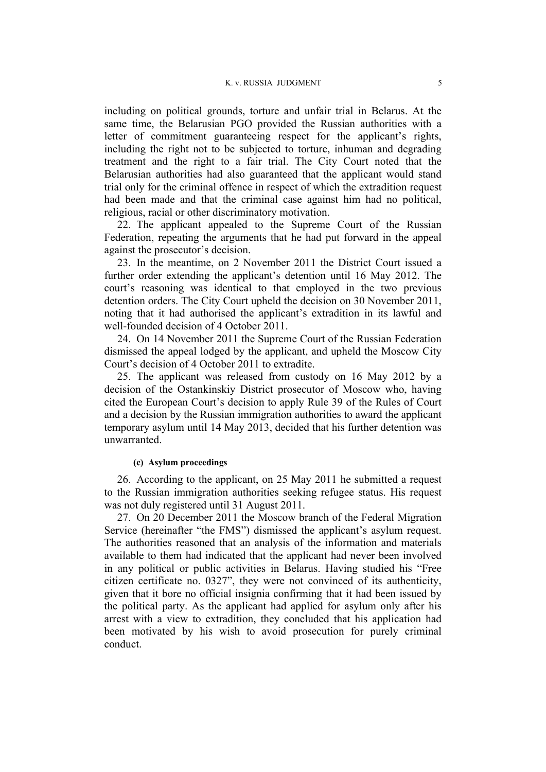including on political grounds, torture and unfair trial in Belarus. At the same time, the Belarusian PGO provided the Russian authorities with a letter of commitment guaranteeing respect for the applicant's rights, including the right not to be subjected to torture, inhuman and degrading treatment and the right to a fair trial. The City Court noted that the Belarusian authorities had also guaranteed that the applicant would stand trial only for the criminal offence in respect of which the extradition request had been made and that the criminal case against him had no political, religious, racial or other discriminatory motivation.

22. The applicant appealed to the Supreme Court of the Russian Federation, repeating the arguments that he had put forward in the appeal against the prosecutor's decision.

23. In the meantime, on 2 November 2011 the District Court issued a further order extending the applicant's detention until 16 May 2012. The court's reasoning was identical to that employed in the two previous detention orders. The City Court upheld the decision on 30 November 2011, noting that it had authorised the applicant's extradition in its lawful and well-founded decision of 4 October 2011.

<span id="page-6-1"></span>24. On 14 November 2011 the Supreme Court of the Russian Federation dismissed the appeal lodged by the applicant, and upheld the Moscow City Court's decision of 4 October 2011 to extradite.

<span id="page-6-0"></span>25. The applicant was released from custody on 16 May 2012 by a decision of the Ostankinskiy District prosecutor of Moscow who, having cited the European Court's decision to apply Rule 39 of the Rules of Court and a decision by the Russian immigration authorities to award the applicant temporary asylum until 14 May 2013, decided that his further detention was unwarranted.

#### **(c) Asylum proceedings**

26. According to the applicant, on 25 May 2011 he submitted a request to the Russian immigration authorities seeking refugee status. His request was not duly registered until 31 August 2011.

27. On 20 December 2011 the Moscow branch of the Federal Migration Service (hereinafter "the FMS") dismissed the applicant's asylum request. The authorities reasoned that an analysis of the information and materials available to them had indicated that the applicant had never been involved in any political or public activities in Belarus. Having studied his "Free citizen certificate no. 0327", they were not convinced of its authenticity, given that it bore no official insignia confirming that it had been issued by the political party. As the applicant had applied for asylum only after his arrest with a view to extradition, they concluded that his application had been motivated by his wish to avoid prosecution for purely criminal conduct.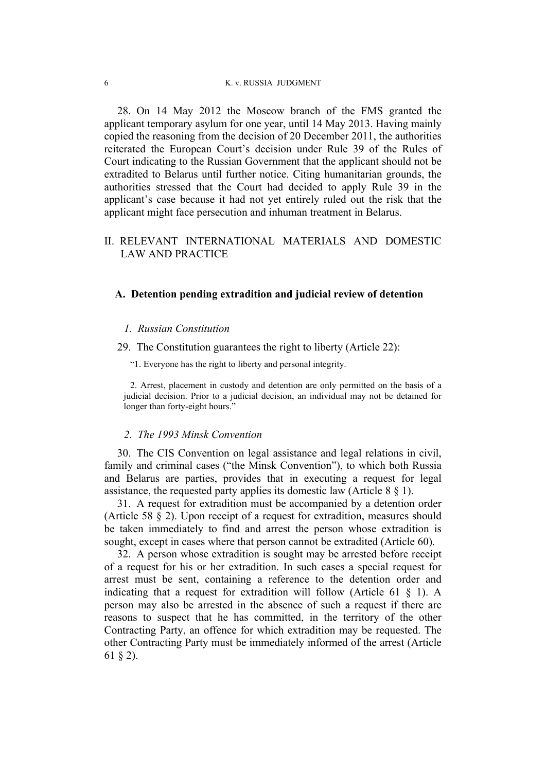<span id="page-7-0"></span>28. On 14 May 2012 the Moscow branch of the FMS granted the applicant temporary asylum for one year, until 14 May 2013. Having mainly copied the reasoning from the decision of 20 December 2011, the authorities reiterated the European Court's decision under Rule 39 of the Rules of Court indicating to the Russian Government that the applicant should not be extradited to Belarus until further notice. Citing humanitarian grounds, the authorities stressed that the Court had decided to apply Rule 39 in the applicant's case because it had not yet entirely ruled out the risk that the applicant might face persecution and inhuman treatment in Belarus.

## II. RELEVANT INTERNATIONAL MATERIALS AND DOMESTIC LAW AND PRACTICE

#### **A. Detention pending extradition and judicial review of detention**

#### *1. Russian Constitution*

29. The Constitution guarantees the right to liberty (Article 22):

"1. Everyone has the right to liberty and personal integrity.

2. Arrest, placement in custody and detention are only permitted on the basis of a judicial decision. Prior to a judicial decision, an individual may not be detained for longer than forty-eight hours."

#### *2. The 1993 Minsk Convention*

30. The CIS Convention on legal assistance and legal relations in civil, family and criminal cases ("the Minsk Convention"), to which both Russia and Belarus are parties, provides that in executing a request for legal assistance, the requested party applies its domestic law (Article 8 § 1).

31. A request for extradition must be accompanied by a detention order (Article 58 § 2). Upon receipt of a request for extradition, measures should be taken immediately to find and arrest the person whose extradition is sought, except in cases where that person cannot be extradited (Article 60).

32. A person whose extradition is sought may be arrested before receipt of a request for his or her extradition. In such cases a special request for arrest must be sent, containing a reference to the detention order and indicating that a request for extradition will follow (Article 61  $\S$  1). A person may also be arrested in the absence of such a request if there are reasons to suspect that he has committed, in the territory of the other Contracting Party, an offence for which extradition may be requested. The other Contracting Party must be immediately informed of the arrest (Article 61 § 2).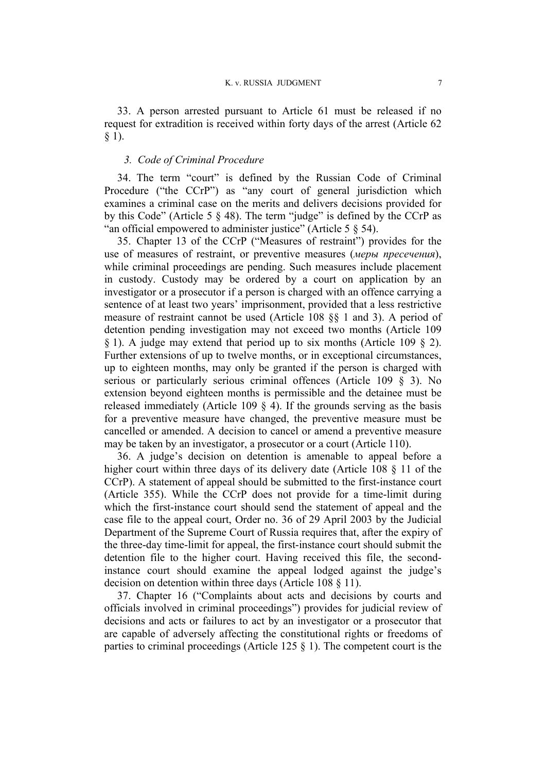33. A person arrested pursuant to Article 61 must be released if no request for extradition is received within forty days of the arrest (Article 62 § 1).

## *3. Code of Criminal Procedure*

34. The term "court" is defined by the Russian Code of Criminal Procedure ("the CCrP") as "any court of general jurisdiction which examines a criminal case on the merits and delivers decisions provided for by this Code" (Article 5 § 48). The term "judge" is defined by the CCrP as "an official empowered to administer justice" (Article 5 § 54).

<span id="page-8-0"></span>35. Chapter 13 of the CCrP ("Measures of restraint") provides for the use of measures of restraint, or preventive measures (*меры пресечения*), while criminal proceedings are pending. Such measures include placement in custody. Custody may be ordered by a court on application by an investigator or a prosecutor if a person is charged with an offence carrying a sentence of at least two years' imprisonment, provided that a less restrictive measure of restraint cannot be used (Article 108 §§ 1 and 3). A period of detention pending investigation may not exceed two months (Article 109 § 1). A judge may extend that period up to six months (Article 109 § 2). Further extensions of up to twelve months, or in exceptional circumstances, up to eighteen months, may only be granted if the person is charged with serious or particularly serious criminal offences (Article 109 § 3). No extension beyond eighteen months is permissible and the detainee must be released immediately (Article 109 § 4). If the grounds serving as the basis for a preventive measure have changed, the preventive measure must be cancelled or amended. A decision to cancel or amend a preventive measure may be taken by an investigator, a prosecutor or a court (Article 110).

36. A judge's decision on detention is amenable to appeal before a higher court within three days of its delivery date (Article 108 § 11 of the CCrP). A statement of appeal should be submitted to the first-instance court (Article 355). While the CCrP does not provide for a time-limit during which the first-instance court should send the statement of appeal and the case file to the appeal court, Order no. 36 of 29 April 2003 by the Judicial Department of the Supreme Court of Russia requires that, after the expiry of the three-day time-limit for appeal, the first-instance court should submit the detention file to the higher court. Having received this file, the secondinstance court should examine the appeal lodged against the judge's decision on detention within three days (Article 108 § 11).

37. Chapter 16 ("Complaints about acts and decisions by courts and officials involved in criminal proceedings") provides for judicial review of decisions and acts or failures to act by an investigator or a prosecutor that are capable of adversely affecting the constitutional rights or freedoms of parties to criminal proceedings (Article 125 § 1). The competent court is the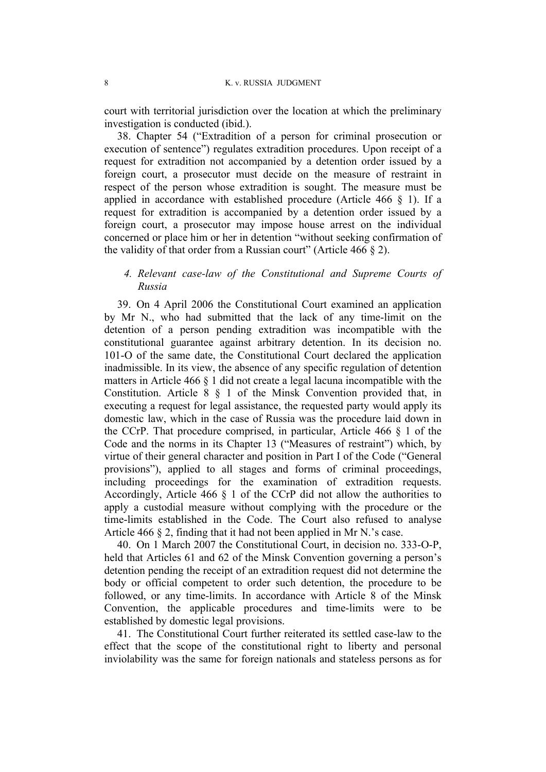court with territorial jurisdiction over the location at which the preliminary investigation is conducted (ibid.).

38. Chapter 54 ("Extradition of a person for criminal prosecution or execution of sentence") regulates extradition procedures. Upon receipt of a request for extradition not accompanied by a detention order issued by a foreign court, a prosecutor must decide on the measure of restraint in respect of the person whose extradition is sought. The measure must be applied in accordance with established procedure (Article 466 § 1). If a request for extradition is accompanied by a detention order issued by a foreign court, a prosecutor may impose house arrest on the individual concerned or place him or her in detention "without seeking confirmation of the validity of that order from a Russian court" (Article 466 § 2).

## *4. Relevant case-law of the Constitutional and Supreme Courts of Russia*

39. On 4 April 2006 the Constitutional Court examined an application by Mr N., who had submitted that the lack of any time-limit on the detention of a person pending extradition was incompatible with the constitutional guarantee against arbitrary detention. In its decision no. 101-O of the same date, the Constitutional Court declared the application inadmissible. In its view, the absence of any specific regulation of detention matters in Article 466 § 1 did not create a legal lacuna incompatible with the Constitution. Article 8 § 1 of the Minsk Convention provided that, in executing a request for legal assistance, the requested party would apply its domestic law, which in the case of Russia was the procedure laid down in the CCrP. That procedure comprised, in particular, Article 466 § 1 of the Code and the norms in its Chapter 13 ("Measures of restraint") which, by virtue of their general character and position in Part I of the Code ("General provisions"), applied to all stages and forms of criminal proceedings, including proceedings for the examination of extradition requests. Accordingly, Article 466 § 1 of the CCrP did not allow the authorities to apply a custodial measure without complying with the procedure or the time-limits established in the Code. The Court also refused to analyse Article 466 § 2, finding that it had not been applied in Mr N.'s case.

40. On 1 March 2007 the Constitutional Court, in decision no. 333-O-P, held that Articles 61 and 62 of the Minsk Convention governing a person's detention pending the receipt of an extradition request did not determine the body or official competent to order such detention, the procedure to be followed, or any time-limits. In accordance with Article 8 of the Minsk Convention, the applicable procedures and time-limits were to be established by domestic legal provisions.

41. The Constitutional Court further reiterated its settled case-law to the effect that the scope of the constitutional right to liberty and personal inviolability was the same for foreign nationals and stateless persons as for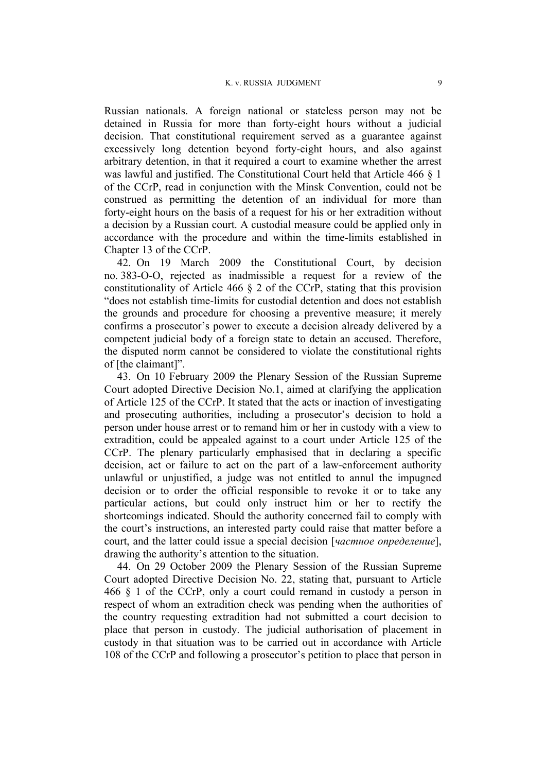Russian nationals. A foreign national or stateless person may not be detained in Russia for more than forty-eight hours without a judicial decision. That constitutional requirement served as a guarantee against excessively long detention beyond forty-eight hours, and also against arbitrary detention, in that it required a court to examine whether the arrest was lawful and justified. The Constitutional Court held that Article 466 § 1 of the CCrP, read in conjunction with the Minsk Convention, could not be construed as permitting the detention of an individual for more than forty-eight hours on the basis of a request for his or her extradition without a decision by a Russian court. A custodial measure could be applied only in accordance with the procedure and within the time-limits established in Chapter 13 of the CCrP.

42. On 19 March 2009 the Constitutional Court, by decision no. 383-O-O, rejected as inadmissible a request for a review of the constitutionality of Article 466 § 2 of the CCrP, stating that this provision "does not establish time-limits for custodial detention and does not establish the grounds and procedure for choosing a preventive measure; it merely confirms a prosecutor's power to execute a decision already delivered by a competent judicial body of a foreign state to detain an accused. Therefore, the disputed norm cannot be considered to violate the constitutional rights of [the claimant]".

43. On 10 February 2009 the Plenary Session of the Russian Supreme Court adopted Directive Decision No.1, aimed at clarifying the application of Article 125 of the CCrP. It stated that the acts or inaction of investigating and prosecuting authorities, including a prosecutor's decision to hold a person under house arrest or to remand him or her in custody with a view to extradition, could be appealed against to a court under Article 125 of the CCrP. The plenary particularly emphasised that in declaring a specific decision, act or failure to act on the part of a law-enforcement authority unlawful or unjustified, a judge was not entitled to annul the impugned decision or to order the official responsible to revoke it or to take any particular actions, but could only instruct him or her to rectify the shortcomings indicated. Should the authority concerned fail to comply with the court's instructions, an interested party could raise that matter before a court, and the latter could issue a special decision [*частное определение*], drawing the authority's attention to the situation.

<span id="page-10-0"></span>44. On 29 October 2009 the Plenary Session of the Russian Supreme Court adopted Directive Decision No. 22, stating that, pursuant to Article 466 § 1 of the CCrP, only a court could remand in custody a person in respect of whom an extradition check was pending when the authorities of the country requesting extradition had not submitted a court decision to place that person in custody. The judicial authorisation of placement in custody in that situation was to be carried out in accordance with Article 108 of the CCrP and following a prosecutor's petition to place that person in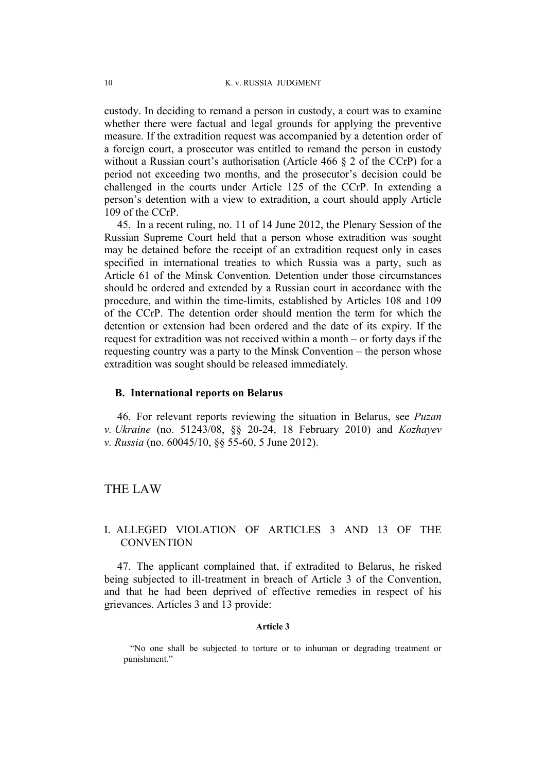custody. In deciding to remand a person in custody, a court was to examine whether there were factual and legal grounds for applying the preventive measure. If the extradition request was accompanied by a detention order of a foreign court, a prosecutor was entitled to remand the person in custody without a Russian court's authorisation (Article 466 § 2 of the CCrP) for a period not exceeding two months, and the prosecutor's decision could be challenged in the courts under Article 125 of the CCrP. In extending a person's detention with a view to extradition, a court should apply Article 109 of the CCrP.

45. In a recent ruling, no. 11 of 14 June 2012, the Plenary Session of the Russian Supreme Court held that a person whose extradition was sought may be detained before the receipt of an extradition request only in cases specified in international treaties to which Russia was a party, such as Article 61 of the Minsk Convention. Detention under those circumstances should be ordered and extended by a Russian court in accordance with the procedure, and within the time-limits, established by Articles 108 and 109 of the CCrP. The detention order should mention the term for which the detention or extension had been ordered and the date of its expiry. If the request for extradition was not received within a month – or forty days if the requesting country was a party to the Minsk Convention – the person whose extradition was sought should be released immediately.

#### **B. International reports on Belarus**

<span id="page-11-0"></span>46. For relevant reports reviewing the situation in Belarus, see *Puzan v. Ukraine* (no. 51243/08, §§ 20-24, 18 February 2010) and *Kozhayev v. Russia* (no. 60045/10, §§ 55-60, 5 June 2012).

## THE LAW

## I. ALLEGED VIOLATION OF ARTICLES 3 AND 13 OF THE **CONVENTION**

47. The applicant complained that, if extradited to Belarus, he risked being subjected to ill-treatment in breach of Article 3 of the Convention, and that he had been deprived of effective remedies in respect of his grievances. Articles 3 and 13 provide:

## **Article 3**

"No one shall be subjected to torture or to inhuman or degrading treatment or punishment."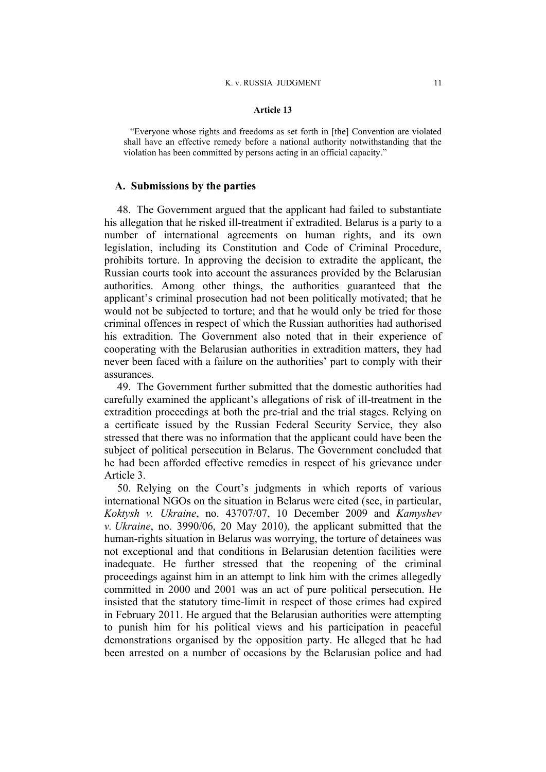#### **Article 13**

"Everyone whose rights and freedoms as set forth in [the] Convention are violated shall have an effective remedy before a national authority notwithstanding that the violation has been committed by persons acting in an official capacity."

## **A. Submissions by the parties**

<span id="page-12-1"></span>48. The Government argued that the applicant had failed to substantiate his allegation that he risked ill-treatment if extradited. Belarus is a party to a number of international agreements on human rights, and its own legislation, including its Constitution and Code of Criminal Procedure, prohibits torture. In approving the decision to extradite the applicant, the Russian courts took into account the assurances provided by the Belarusian authorities. Among other things, the authorities guaranteed that the applicant's criminal prosecution had not been politically motivated; that he would not be subjected to torture; and that he would only be tried for those criminal offences in respect of which the Russian authorities had authorised his extradition. The Government also noted that in their experience of cooperating with the Belarusian authorities in extradition matters, they had never been faced with a failure on the authorities' part to comply with their assurances.

49. The Government further submitted that the domestic authorities had carefully examined the applicant's allegations of risk of ill-treatment in the extradition proceedings at both the pre-trial and the trial stages. Relying on a certificate issued by the Russian Federal Security Service, they also stressed that there was no information that the applicant could have been the subject of political persecution in Belarus. The Government concluded that he had been afforded effective remedies in respect of his grievance under Article 3.

<span id="page-12-0"></span>50. Relying on the Court's judgments in which reports of various international NGOs on the situation in Belarus were cited (see, in particular, *Koktysh v. Ukraine*, no. 43707/07, 10 December 2009 and *Kamyshev v. Ukraine*, no. 3990/06, 20 May 2010), the applicant submitted that the human-rights situation in Belarus was worrying, the torture of detainees was not exceptional and that conditions in Belarusian detention facilities were inadequate. He further stressed that the reopening of the criminal proceedings against him in an attempt to link him with the crimes allegedly committed in 2000 and 2001 was an act of pure political persecution. He insisted that the statutory time-limit in respect of those crimes had expired in February 2011. He argued that the Belarusian authorities were attempting to punish him for his political views and his participation in peaceful demonstrations organised by the opposition party. He alleged that he had been arrested on a number of occasions by the Belarusian police and had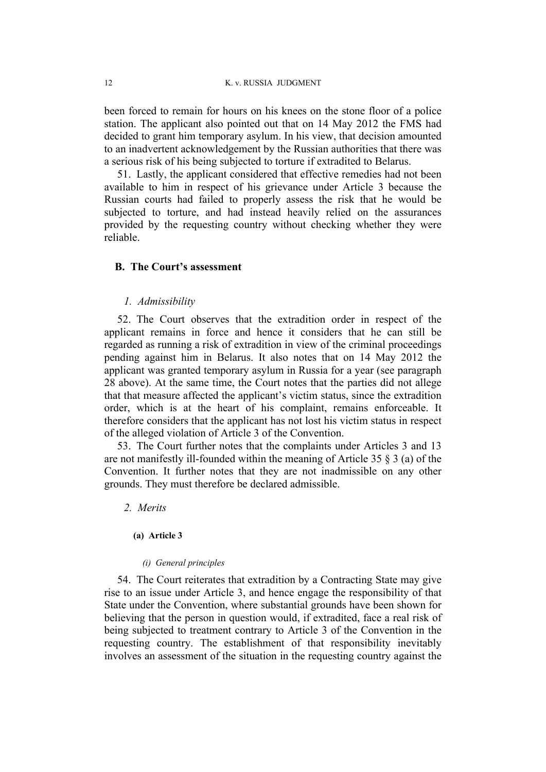been forced to remain for hours on his knees on the stone floor of a police station. The applicant also pointed out that on 14 May 2012 the FMS had decided to grant him temporary asylum. In his view, that decision amounted to an inadvertent acknowledgement by the Russian authorities that there was a serious risk of his being subjected to torture if extradited to Belarus.

51. Lastly, the applicant considered that effective remedies had not been available to him in respect of his grievance under Article 3 because the Russian courts had failed to properly assess the risk that he would be subjected to torture, and had instead heavily relied on the assurances provided by the requesting country without checking whether they were reliable.

## **B. The Court's assessment**

#### *1. Admissibility*

52. The Court observes that the extradition order in respect of the applicant remains in force and hence it considers that he can still be regarded as running a risk of extradition in view of the criminal proceedings pending against him in Belarus. It also notes that on 14 May 2012 the applicant was granted temporary asylum in Russia for a year (see paragraph [28](#page-7-0) above). At the same time, the Court notes that the parties did not allege that that measure affected the applicant's victim status, since the extradition order, which is at the heart of his complaint, remains enforceable. It therefore considers that the applicant has not lost his victim status in respect of the alleged violation of Article 3 of the Convention.

53. The Court further notes that the complaints under Articles 3 and 13 are not manifestly ill-founded within the meaning of Article 35 § 3 (a) of the Convention. It further notes that they are not inadmissible on any other grounds. They must therefore be declared admissible.

#### *2. Merits*

#### **(a) Article 3**

#### *(i) General principles*

54. The Court reiterates that extradition by a Contracting State may give rise to an issue under Article 3, and hence engage the responsibility of that State under the Convention, where substantial grounds have been shown for believing that the person in question would, if extradited, face a real risk of being subjected to treatment contrary to Article 3 of the Convention in the requesting country. The establishment of that responsibility inevitably involves an assessment of the situation in the requesting country against the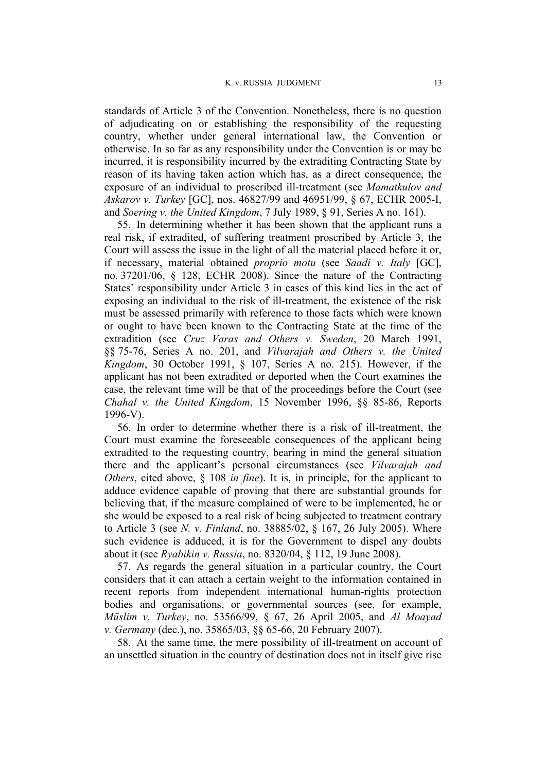standards of Article 3 of the Convention. Nonetheless, there is no question of adjudicating on or establishing the responsibility of the requesting country, whether under general international law, the Convention or otherwise. In so far as any responsibility under the Convention is or may be incurred, it is responsibility incurred by the extraditing Contracting State by reason of its having taken action which has, as a direct consequence, the exposure of an individual to proscribed ill-treatment (see *Mamatkulov and Askarov v. Turkey* [GC], nos. 46827/99 and 46951/99, § 67, ECHR 2005-I, and *Soering v. the United Kingdom*, 7 July 1989, § 91, Series A no. 161).

55. In determining whether it has been shown that the applicant runs a real risk, if extradited, of suffering treatment proscribed by Article 3, the Court will assess the issue in the light of all the material placed before it or, if necessary, material obtained *proprio motu* (see *Saadi v. Italy* [GC], no. 37201/06, § 128, ECHR 2008). Since the nature of the Contracting States' responsibility under Article 3 in cases of this kind lies in the act of exposing an individual to the risk of ill-treatment, the existence of the risk must be assessed primarily with reference to those facts which were known or ought to have been known to the Contracting State at the time of the extradition (see *Cruz Varas and Others v. Sweden*, 20 March 1991, §§ 75-76, Series A no. 201, and *Vilvarajah and Others v. the United Kingdom*, 30 October 1991, § 107, Series A no. 215). However, if the applicant has not been extradited or deported when the Court examines the case, the relevant time will be that of the proceedings before the Court (see *Chahal v. the United Kingdom*, 15 November 1996, §§ 85-86, Reports  $1996-V$ ).

56. In order to determine whether there is a risk of ill-treatment, the Court must examine the foreseeable consequences of the applicant being extradited to the requesting country, bearing in mind the general situation there and the applicant's personal circumstances (see *Vilvarajah and Others*, cited above, § 108 *in fine*). It is, in principle, for the applicant to adduce evidence capable of proving that there are substantial grounds for believing that, if the measure complained of were to be implemented, he or she would be exposed to a real risk of being subjected to treatment contrary to Article 3 (see *N. v. Finland*, no. 38885/02, § 167, 26 July 2005). Where such evidence is adduced, it is for the Government to dispel any doubts about it (see *Ryabikin v. Russia*, no. 8320/04, § 112, 19 June 2008).

57. As regards the general situation in a particular country, the Court considers that it can attach a certain weight to the information contained in recent reports from independent international human-rights protection bodies and organisations, or governmental sources (see, for example, *Müslim v. Turkey*, no. 53566/99, § 67, 26 April 2005, and *Al Moayad v. Germany* (dec.), no. 35865/03, §§ 65-66, 20 February 2007).

58. At the same time, the mere possibility of ill-treatment on account of an unsettled situation in the country of destination does not in itself give rise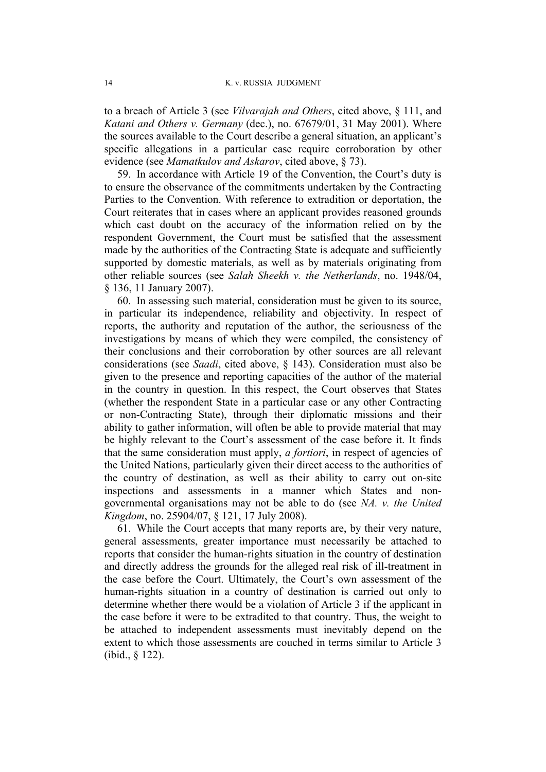to a breach of Article 3 (see *Vilvarajah and Others*, cited above, § 111, and *Katani and Others v. Germany* (dec.), no. 67679/01, 31 May 2001). Where the sources available to the Court describe a general situation, an applicant's specific allegations in a particular case require corroboration by other evidence (see *Mamatkulov and Askarov*, cited above, § 73).

59. In accordance with Article 19 of the Convention, the Court's duty is to ensure the observance of the commitments undertaken by the Contracting Parties to the Convention. With reference to extradition or deportation, the Court reiterates that in cases where an applicant provides reasoned grounds which cast doubt on the accuracy of the information relied on by the respondent Government, the Court must be satisfied that the assessment made by the authorities of the Contracting State is adequate and sufficiently supported by domestic materials, as well as by materials originating from other reliable sources (see *Salah Sheekh v. the Netherlands*, no. 1948/04, § 136, 11 January 2007).

60. In assessing such material, consideration must be given to its source, in particular its independence, reliability and objectivity. In respect of reports, the authority and reputation of the author, the seriousness of the investigations by means of which they were compiled, the consistency of their conclusions and their corroboration by other sources are all relevant considerations (see *Saadi*, cited above, § 143). Consideration must also be given to the presence and reporting capacities of the author of the material in the country in question. In this respect, the Court observes that States (whether the respondent State in a particular case or any other Contracting or non-Contracting State), through their diplomatic missions and their ability to gather information, will often be able to provide material that may be highly relevant to the Court's assessment of the case before it. It finds that the same consideration must apply, *a fortiori*, in respect of agencies of the United Nations, particularly given their direct access to the authorities of the country of destination, as well as their ability to carry out on-site inspections and assessments in a manner which States and nongovernmental organisations may not be able to do (see *NA. v. the United Kingdom*, no. 25904/07, § 121, 17 July 2008).

61. While the Court accepts that many reports are, by their very nature, general assessments, greater importance must necessarily be attached to reports that consider the human-rights situation in the country of destination and directly address the grounds for the alleged real risk of ill-treatment in the case before the Court. Ultimately, the Court's own assessment of the human-rights situation in a country of destination is carried out only to determine whether there would be a violation of Article 3 if the applicant in the case before it were to be extradited to that country. Thus, the weight to be attached to independent assessments must inevitably depend on the extent to which those assessments are couched in terms similar to Article 3 (ibid., § 122).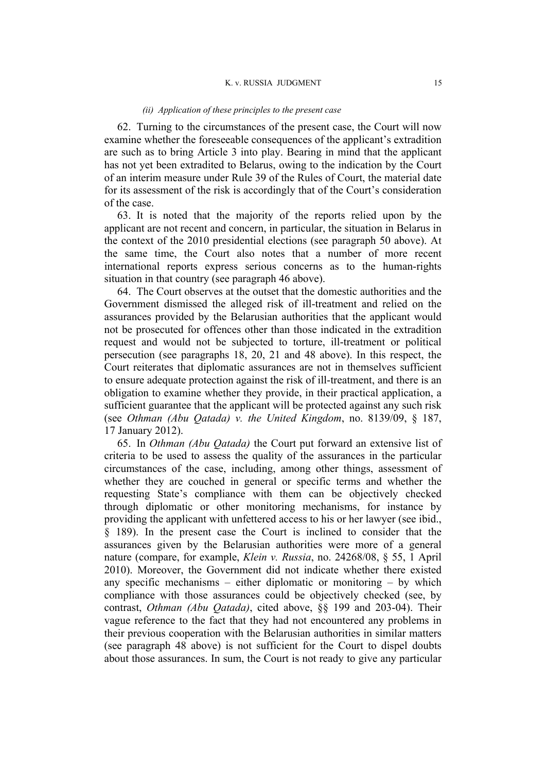#### *(ii) Application of these principles to the present case*

62. Turning to the circumstances of the present case, the Court will now examine whether the foreseeable consequences of the applicant's extradition are such as to bring Article 3 into play. Bearing in mind that the applicant has not yet been extradited to Belarus, owing to the indication by the Court of an interim measure under Rule 39 of the Rules of Court, the material date for its assessment of the risk is accordingly that of the Court's consideration of the case.

63. It is noted that the majority of the reports relied upon by the applicant are not recent and concern, in particular, the situation in Belarus in the context of the 2010 presidential elections (see paragraph [50](#page-12-0) above). At the same time, the Court also notes that a number of more recent international reports express serious concerns as to the human-rights situation in that country (see paragraph [46](#page-11-0) above).

64. The Court observes at the outset that the domestic authorities and the Government dismissed the alleged risk of ill-treatment and relied on the assurances provided by the Belarusian authorities that the applicant would not be prosecuted for offences other than those indicated in the extradition request and would not be subjected to torture, ill-treatment or political persecution (see paragraphs [18,](#page-5-0) 20, [21](#page-5-1) and [48](#page-12-1) above). In this respect, the Court reiterates that diplomatic assurances are not in themselves sufficient to ensure adequate protection against the risk of ill-treatment, and there is an obligation to examine whether they provide, in their practical application, a sufficient guarantee that the applicant will be protected against any such risk (see *Othman (Abu Qatada) v. the United Kingdom*, no. 8139/09, § 187, 17 January 2012).

65. In *Othman (Abu Qatada)* the Court put forward an extensive list of criteria to be used to assess the quality of the assurances in the particular circumstances of the case, including, among other things, assessment of whether they are couched in general or specific terms and whether the requesting State's compliance with them can be objectively checked through diplomatic or other monitoring mechanisms, for instance by providing the applicant with unfettered access to his or her lawyer (see ibid., § 189). In the present case the Court is inclined to consider that the assurances given by the Belarusian authorities were more of a general nature (compare, for example, *Klein v. Russia*, no. 24268/08, § 55, 1 April 2010). Moreover, the Government did not indicate whether there existed any specific mechanisms – either diplomatic or monitoring – by which compliance with those assurances could be objectively checked (see, by contrast, *Othman (Abu Qatada)*, cited above, §§ 199 and 203-04). Their vague reference to the fact that they had not encountered any problems in their previous cooperation with the Belarusian authorities in similar matters (see paragraph [48](#page-12-1) above) is not sufficient for the Court to dispel doubts about those assurances. In sum, the Court is not ready to give any particular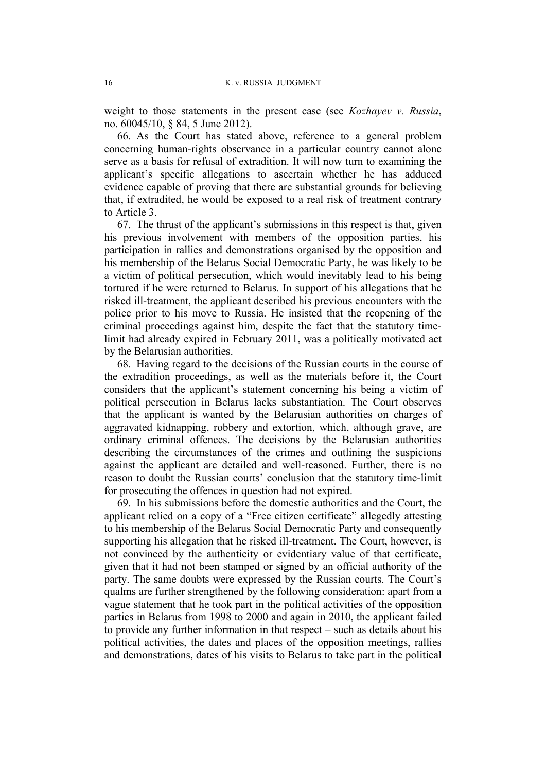weight to those statements in the present case (see *Kozhayev v. Russia*, no. 60045/10, § 84, 5 June 2012).

66. As the Court has stated above, reference to a general problem concerning human-rights observance in a particular country cannot alone serve as a basis for refusal of extradition. It will now turn to examining the applicant's specific allegations to ascertain whether he has adduced evidence capable of proving that there are substantial grounds for believing that, if extradited, he would be exposed to a real risk of treatment contrary to Article 3.

67. The thrust of the applicant's submissions in this respect is that, given his previous involvement with members of the opposition parties, his participation in rallies and demonstrations organised by the opposition and his membership of the Belarus Social Democratic Party, he was likely to be a victim of political persecution, which would inevitably lead to his being tortured if he were returned to Belarus. In support of his allegations that he risked ill-treatment, the applicant described his previous encounters with the police prior to his move to Russia. He insisted that the reopening of the criminal proceedings against him, despite the fact that the statutory timelimit had already expired in February 2011, was a politically motivated act by the Belarusian authorities.

68. Having regard to the decisions of the Russian courts in the course of the extradition proceedings, as well as the materials before it, the Court considers that the applicant's statement concerning his being a victim of political persecution in Belarus lacks substantiation. The Court observes that the applicant is wanted by the Belarusian authorities on charges of aggravated kidnapping, robbery and extortion, which, although grave, are ordinary criminal offences. The decisions by the Belarusian authorities describing the circumstances of the crimes and outlining the suspicions against the applicant are detailed and well-reasoned. Further, there is no reason to doubt the Russian courts' conclusion that the statutory time-limit for prosecuting the offences in question had not expired.

69. In his submissions before the domestic authorities and the Court, the applicant relied on a copy of a "Free citizen certificate" allegedly attesting to his membership of the Belarus Social Democratic Party and consequently supporting his allegation that he risked ill-treatment. The Court, however, is not convinced by the authenticity or evidentiary value of that certificate, given that it had not been stamped or signed by an official authority of the party. The same doubts were expressed by the Russian courts. The Court's qualms are further strengthened by the following consideration: apart from a vague statement that he took part in the political activities of the opposition parties in Belarus from 1998 to 2000 and again in 2010, the applicant failed to provide any further information in that respect – such as details about his political activities, the dates and places of the opposition meetings, rallies and demonstrations, dates of his visits to Belarus to take part in the political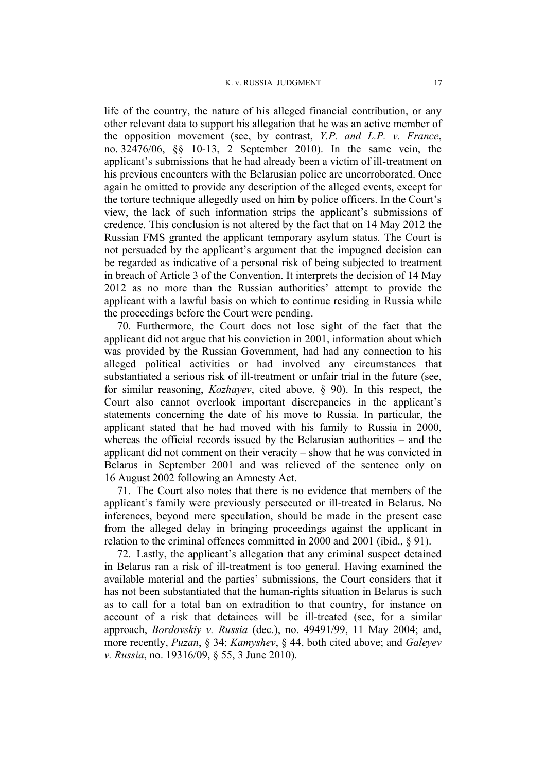life of the country, the nature of his alleged financial contribution, or any other relevant data to support his allegation that he was an active member of the opposition movement (see, by contrast, *Y.P. and L.P. v. France*, no. 32476/06, §§ 10-13, 2 September 2010). In the same vein, the applicant's submissions that he had already been a victim of ill-treatment on his previous encounters with the Belarusian police are uncorroborated. Once again he omitted to provide any description of the alleged events, except for the torture technique allegedly used on him by police officers. In the Court's view, the lack of such information strips the applicant's submissions of credence. This conclusion is not altered by the fact that on 14 May 2012 the Russian FMS granted the applicant temporary asylum status. The Court is not persuaded by the applicant's argument that the impugned decision can be regarded as indicative of a personal risk of being subjected to treatment in breach of Article 3 of the Convention. It interprets the decision of 14 May 2012 as no more than the Russian authorities' attempt to provide the applicant with a lawful basis on which to continue residing in Russia while the proceedings before the Court were pending.

70. Furthermore, the Court does not lose sight of the fact that the applicant did not argue that his conviction in 2001, information about which was provided by the Russian Government, had had any connection to his alleged political activities or had involved any circumstances that substantiated a serious risk of ill-treatment or unfair trial in the future (see, for similar reasoning, *Kozhayev*, cited above, § 90). In this respect, the Court also cannot overlook important discrepancies in the applicant's statements concerning the date of his move to Russia. In particular, the applicant stated that he had moved with his family to Russia in 2000, whereas the official records issued by the Belarusian authorities – and the applicant did not comment on their veracity – show that he was convicted in Belarus in September 2001 and was relieved of the sentence only on 16 August 2002 following an Amnesty Act.

71. The Court also notes that there is no evidence that members of the applicant's family were previously persecuted or ill-treated in Belarus. No inferences, beyond mere speculation, should be made in the present case from the alleged delay in bringing proceedings against the applicant in relation to the criminal offences committed in 2000 and 2001 (ibid., § 91).

72. Lastly, the applicant's allegation that any criminal suspect detained in Belarus ran a risk of ill-treatment is too general. Having examined the available material and the parties' submissions, the Court considers that it has not been substantiated that the human-rights situation in Belarus is such as to call for a total ban on extradition to that country, for instance on account of a risk that detainees will be ill-treated (see, for a similar approach, *Bordovskiy v. Russia* (dec.), no. 49491/99, 11 May 2004; and, more recently, *Puzan*, § 34; *Kamyshev*, § 44, both cited above; and *Galeyev v. Russia*, no. 19316/09, § 55, 3 June 2010).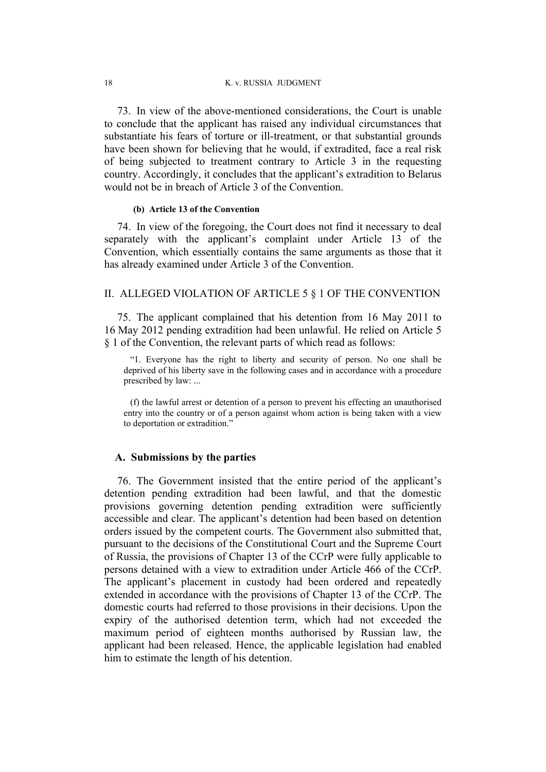73. In view of the above-mentioned considerations, the Court is unable to conclude that the applicant has raised any individual circumstances that substantiate his fears of torture or ill-treatment, or that substantial grounds have been shown for believing that he would, if extradited, face a real risk of being subjected to treatment contrary to Article 3 in the requesting country. Accordingly, it concludes that the applicant's extradition to Belarus would not be in breach of Article 3 of the Convention.

#### **(b) Article 13 of the Convention**

74. In view of the foregoing, the Court does not find it necessary to deal separately with the applicant's complaint under Article 13 of the Convention, which essentially contains the same arguments as those that it has already examined under Article 3 of the Convention.

## II. ALLEGED VIOLATION OF ARTICLE 5 § 1 OF THE CONVENTION

75. The applicant complained that his detention from 16 May 2011 to 16 May 2012 pending extradition had been unlawful. He relied on Article 5 § 1 of the Convention, the relevant parts of which read as follows:

"1. Everyone has the right to liberty and security of person. No one shall be deprived of his liberty save in the following cases and in accordance with a procedure prescribed by law: ...

(f) the lawful arrest or detention of a person to prevent his effecting an unauthorised entry into the country or of a person against whom action is being taken with a view to deportation or extradition."

## **A. Submissions by the parties**

76. The Government insisted that the entire period of the applicant's detention pending extradition had been lawful, and that the domestic provisions governing detention pending extradition were sufficiently accessible and clear. The applicant's detention had been based on detention orders issued by the competent courts. The Government also submitted that, pursuant to the decisions of the Constitutional Court and the Supreme Court of Russia, the provisions of Chapter 13 of the CCrP were fully applicable to persons detained with a view to extradition under Article 466 of the CCrP. The applicant's placement in custody had been ordered and repeatedly extended in accordance with the provisions of Chapter 13 of the CCrP. The domestic courts had referred to those provisions in their decisions. Upon the expiry of the authorised detention term, which had not exceeded the maximum period of eighteen months authorised by Russian law, the applicant had been released. Hence, the applicable legislation had enabled him to estimate the length of his detention.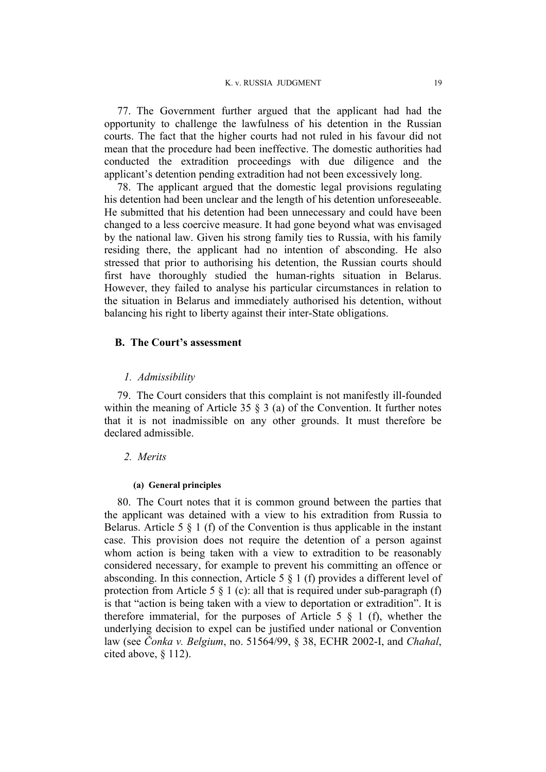77. The Government further argued that the applicant had had the opportunity to challenge the lawfulness of his detention in the Russian courts. The fact that the higher courts had not ruled in his favour did not mean that the procedure had been ineffective. The domestic authorities had conducted the extradition proceedings with due diligence and the applicant's detention pending extradition had not been excessively long.

78. The applicant argued that the domestic legal provisions regulating his detention had been unclear and the length of his detention unforeseeable. He submitted that his detention had been unnecessary and could have been changed to a less coercive measure. It had gone beyond what was envisaged by the national law. Given his strong family ties to Russia, with his family residing there, the applicant had no intention of absconding. He also stressed that prior to authorising his detention, the Russian courts should first have thoroughly studied the human-rights situation in Belarus. However, they failed to analyse his particular circumstances in relation to the situation in Belarus and immediately authorised his detention, without balancing his right to liberty against their inter-State obligations.

## **B. The Court's assessment**

#### *1. Admissibility*

79. The Court considers that this complaint is not manifestly ill-founded within the meaning of Article 35  $\frac{8}{3}$  (a) of the Convention. It further notes that it is not inadmissible on any other grounds. It must therefore be declared admissible.

## *2. Merits*

#### **(a) General principles**

80. The Court notes that it is common ground between the parties that the applicant was detained with a view to his extradition from Russia to Belarus. Article 5  $\S$  1 (f) of the Convention is thus applicable in the instant case. This provision does not require the detention of a person against whom action is being taken with a view to extradition to be reasonably considered necessary, for example to prevent his committing an offence or absconding. In this connection, Article 5  $\S$  1 (f) provides a different level of protection from Article 5  $\S$  1 (c): all that is required under sub-paragraph (f) is that "action is being taken with a view to deportation or extradition". It is therefore immaterial, for the purposes of Article 5  $\S$  1 (f), whether the underlying decision to expel can be justified under national or Convention law (see *Čonka v. Belgium*, no. 51564/99, § 38, ECHR 2002-I, and *Chahal*, cited above, § 112).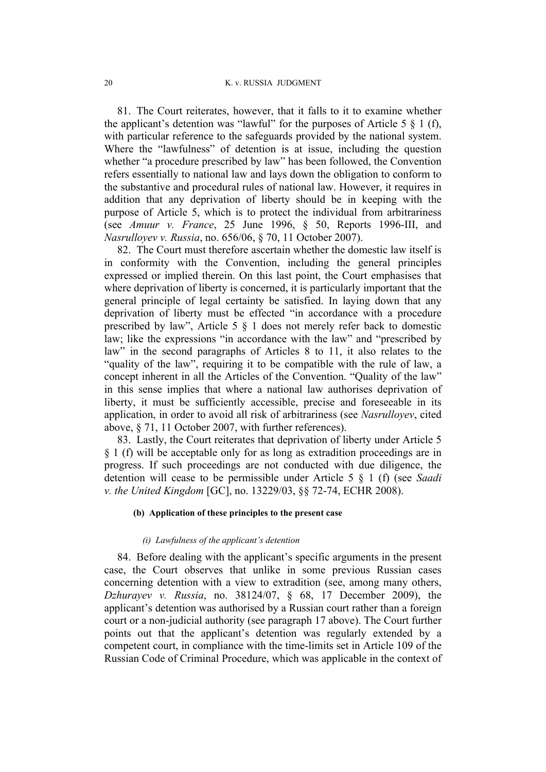81. The Court reiterates, however, that it falls to it to examine whether the applicant's detention was "lawful" for the purposes of Article 5  $\S$  1 (f), with particular reference to the safeguards provided by the national system. Where the "lawfulness" of detention is at issue, including the question whether "a procedure prescribed by law" has been followed, the Convention refers essentially to national law and lays down the obligation to conform to the substantive and procedural rules of national law. However, it requires in addition that any deprivation of liberty should be in keeping with the purpose of Article 5, which is to protect the individual from arbitrariness (see *Amuur v. France*, 25 June 1996, § 50, Reports 1996-III, and *Nasrulloyev v. Russia*, no. 656/06, § 70, 11 October 2007).

82. The Court must therefore ascertain whether the domestic law itself is in conformity with the Convention, including the general principles expressed or implied therein. On this last point, the Court emphasises that where deprivation of liberty is concerned, it is particularly important that the general principle of legal certainty be satisfied. In laying down that any deprivation of liberty must be effected "in accordance with a procedure prescribed by law", Article 5 § 1 does not merely refer back to domestic law; like the expressions "in accordance with the law" and "prescribed by law" in the second paragraphs of Articles 8 to 11, it also relates to the "quality of the law", requiring it to be compatible with the rule of law, a concept inherent in all the Articles of the Convention. "Quality of the law" in this sense implies that where a national law authorises deprivation of liberty, it must be sufficiently accessible, precise and foreseeable in its application, in order to avoid all risk of arbitrariness (see *Nasrulloyev*, cited above, § 71, 11 October 2007, with further references).

83. Lastly, the Court reiterates that deprivation of liberty under Article 5 § 1 (f) will be acceptable only for as long as extradition proceedings are in progress. If such proceedings are not conducted with due diligence, the detention will cease to be permissible under Article 5 § 1 (f) (see *Saadi v. the United Kingdom* [GC], no. 13229/03, §§ 72-74, ECHR 2008).

### **(b) Application of these principles to the present case**

#### *(i) Lawfulness of the applicant's detention*

84. Before dealing with the applicant's specific arguments in the present case, the Court observes that unlike in some previous Russian cases concerning detention with a view to extradition (see, among many others, *Dzhurayev v. Russia*, no. 38124/07, § 68, 17 December 2009), the applicant's detention was authorised by a Russian court rather than a foreign court or a non-judicial authority (see paragraph [17](#page-4-0) above). The Court further points out that the applicant's detention was regularly extended by a competent court, in compliance with the time-limits set in Article 109 of the Russian Code of Criminal Procedure, which was applicable in the context of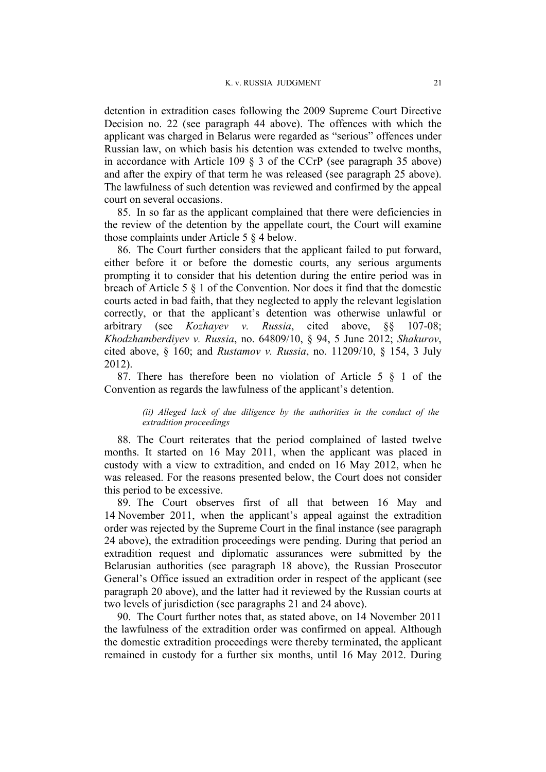detention in extradition cases following the 2009 Supreme Court Directive Decision no. 22 (see paragraph [44](#page-10-0) above). The offences with which the applicant was charged in Belarus were regarded as "serious" offences under Russian law, on which basis his detention was extended to twelve months, in accordance with Article 109 § 3 of the CCrP (see paragraph [35](#page-8-0) above) and after the expiry of that term he was released (see paragraph [25](#page-6-0) above). The lawfulness of such detention was reviewed and confirmed by the appeal court on several occasions.

85. In so far as the applicant complained that there were deficiencies in the review of the detention by the appellate court, the Court will examine those complaints under Article 5 § 4 below.

86. The Court further considers that the applicant failed to put forward, either before it or before the domestic courts, any serious arguments prompting it to consider that his detention during the entire period was in breach of Article 5 § 1 of the Convention. Nor does it find that the domestic courts acted in bad faith, that they neglected to apply the relevant legislation correctly, or that the applicant's detention was otherwise unlawful or arbitrary (see *Kozhayev v. Russia*, cited above, §§ 107-08; *Khodzhamberdiyev v. Russia*, no. 64809/10, § 94, 5 June 2012; *Shakurov*, cited above, § 160; and *Rustamov v. Russia*, no. 11209/10, § 154, 3 July 2012).

<span id="page-22-0"></span>87. There has therefore been no violation of Article 5 § 1 of the Convention as regards the lawfulness of the applicant's detention.

#### *(ii) Alleged lack of due diligence by the authorities in the conduct of the extradition proceedings*

88. The Court reiterates that the period complained of lasted twelve months. It started on 16 May 2011, when the applicant was placed in custody with a view to extradition, and ended on 16 May 2012, when he was released. For the reasons presented below, the Court does not consider this period to be excessive.

89. The Court observes first of all that between 16 May and 14 November 2011, when the applicant's appeal against the extradition order was rejected by the Supreme Court in the final instance (see paragraph [24](#page-6-1) above), the extradition proceedings were pending. During that period an extradition request and diplomatic assurances were submitted by the Belarusian authorities (see paragraph [18](#page-5-0) above), the Russian Prosecutor General's Office issued an extradition order in respect of the applicant (see paragraph 20 above), and the latter had it reviewed by the Russian courts at two levels of jurisdiction (see paragraphs [21](#page-5-1) and [24](#page-6-1) above).

90. The Court further notes that, as stated above, on 14 November 2011 the lawfulness of the extradition order was confirmed on appeal. Although the domestic extradition proceedings were thereby terminated, the applicant remained in custody for a further six months, until 16 May 2012. During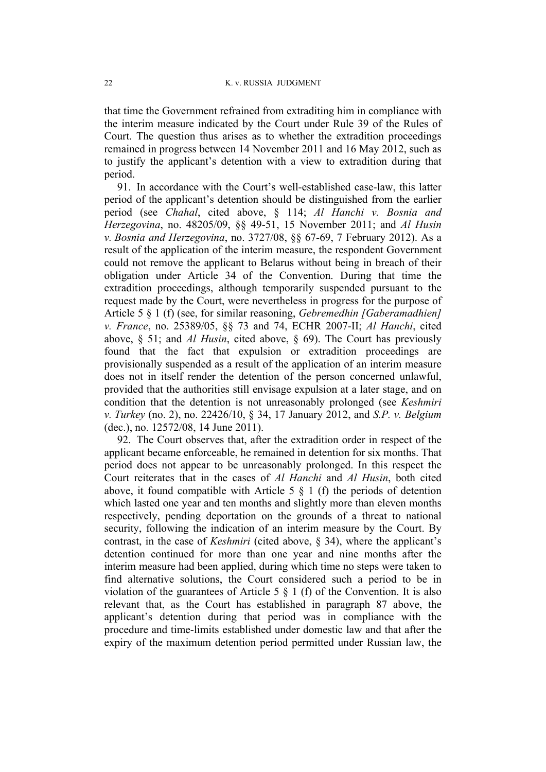that time the Government refrained from extraditing him in compliance with the interim measure indicated by the Court under Rule 39 of the Rules of Court. The question thus arises as to whether the extradition proceedings remained in progress between 14 November 2011 and 16 May 2012, such as to justify the applicant's detention with a view to extradition during that period.

91. In accordance with the Court's well-established case-law, this latter period of the applicant's detention should be distinguished from the earlier period (see *Chahal*, cited above, § 114; *Al Hanchi v. Bosnia and Herzegovina*, no. 48205/09, §§ 49-51, 15 November 2011; and *Al Husin v. Bosnia and Herzegovina*, no. 3727/08, §§ 67-69, 7 February 2012). As a result of the application of the interim measure, the respondent Government could not remove the applicant to Belarus without being in breach of their obligation under Article 34 of the Convention. During that time the extradition proceedings, although temporarily suspended pursuant to the request made by the Court, were nevertheless in progress for the purpose of Article 5 § 1 (f) (see, for similar reasoning, *Gebremedhin [Gaberamadhien] v. France*, no. 25389/05, §§ 73 and 74, ECHR 2007-II; *Al Hanchi*, cited above, § 51; and *Al Husin*, cited above, § 69). The Court has previously found that the fact that expulsion or extradition proceedings are provisionally suspended as a result of the application of an interim measure does not in itself render the detention of the person concerned unlawful, provided that the authorities still envisage expulsion at a later stage, and on condition that the detention is not unreasonably prolonged (see *Keshmiri v. Turkey* (no. 2), no. 22426/10, § 34, 17 January 2012, and *S.P. v. Belgium* (dec.), no. 12572/08, 14 June 2011).

92. The Court observes that, after the extradition order in respect of the applicant became enforceable, he remained in detention for six months. That period does not appear to be unreasonably prolonged. In this respect the Court reiterates that in the cases of *Al Hanchi* and *Al Husin*, both cited above, it found compatible with Article  $5 \& 1$  (f) the periods of detention which lasted one year and ten months and slightly more than eleven months respectively, pending deportation on the grounds of a threat to national security, following the indication of an interim measure by the Court. By contrast, in the case of *Keshmiri* (cited above, § 34), where the applicant's detention continued for more than one year and nine months after the interim measure had been applied, during which time no steps were taken to find alternative solutions, the Court considered such a period to be in violation of the guarantees of Article 5 § 1 (f) of the Convention. It is also relevant that, as the Court has established in paragraph [87](#page-22-0) above, the applicant's detention during that period was in compliance with the procedure and time-limits established under domestic law and that after the expiry of the maximum detention period permitted under Russian law, the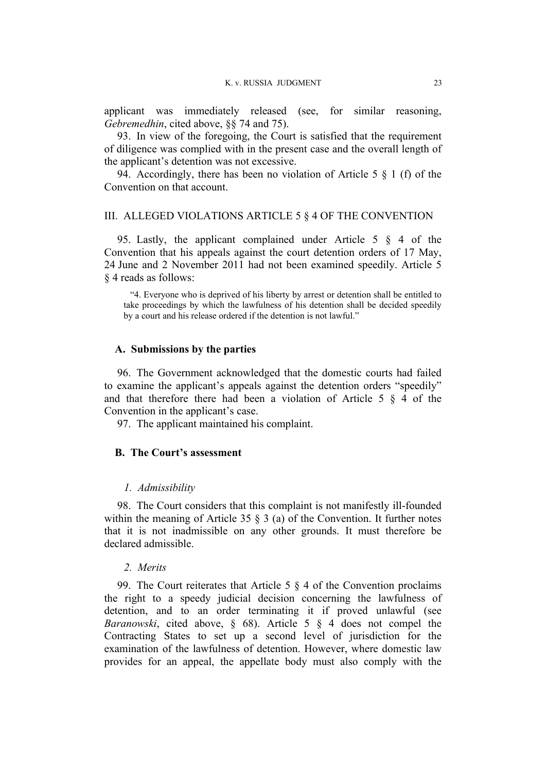applicant was immediately released (see, for similar reasoning, *Gebremedhin*, cited above, §§ 74 and 75).

93. In view of the foregoing, the Court is satisfied that the requirement of diligence was complied with in the present case and the overall length of the applicant's detention was not excessive.

94. Accordingly, there has been no violation of Article 5 § 1 (f) of the Convention on that account.

## III. ALLEGED VIOLATIONS ARTICLE 5 § 4 OF THE CONVENTION

95. Lastly, the applicant complained under Article 5 § 4 of the Convention that his appeals against the court detention orders of 17 May, 24 June and 2 November 2011 had not been examined speedily. Article 5 § 4 reads as follows:

"4. Everyone who is deprived of his liberty by arrest or detention shall be entitled to take proceedings by which the lawfulness of his detention shall be decided speedily by a court and his release ordered if the detention is not lawful."

#### **A. Submissions by the parties**

96. The Government acknowledged that the domestic courts had failed to examine the applicant's appeals against the detention orders "speedily" and that therefore there had been a violation of Article 5 § 4 of the Convention in the applicant's case.

97. The applicant maintained his complaint.

#### **B. The Court's assessment**

#### *1. Admissibility*

98. The Court considers that this complaint is not manifestly ill-founded within the meaning of Article 35 § 3 (a) of the Convention. It further notes that it is not inadmissible on any other grounds. It must therefore be declared admissible.

## *2. Merits*

99. The Court reiterates that Article 5  $\S$  4 of the Convention proclaims the right to a speedy judicial decision concerning the lawfulness of detention, and to an order terminating it if proved unlawful (see *Baranowski*, cited above, § 68). Article 5 § 4 does not compel the Contracting States to set up a second level of jurisdiction for the examination of the lawfulness of detention. However, where domestic law provides for an appeal, the appellate body must also comply with the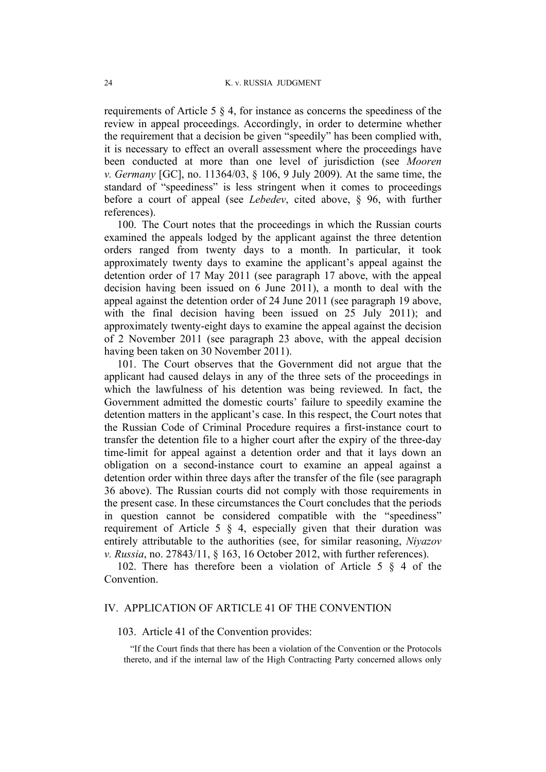requirements of Article 5 § 4, for instance as concerns the speediness of the review in appeal proceedings. Accordingly, in order to determine whether the requirement that a decision be given "speedily" has been complied with, it is necessary to effect an overall assessment where the proceedings have been conducted at more than one level of jurisdiction (see *Mooren v. Germany* [GC], no. 11364/03, § 106, 9 July 2009). At the same time, the standard of "speediness" is less stringent when it comes to proceedings before a court of appeal (see *Lebedev*, cited above, § 96, with further references).

100. The Court notes that the proceedings in which the Russian courts examined the appeals lodged by the applicant against the three detention orders ranged from twenty days to a month. In particular, it took approximately twenty days to examine the applicant's appeal against the detention order of 17 May 2011 (see paragraph 17 above, with the appeal decision having been issued on 6 June 2011), a month to deal with the appeal against the detention order of 24 June 2011 (see paragraph 19 above, with the final decision having been issued on 25 July 2011); and approximately twenty-eight days to examine the appeal against the decision of 2 November 2011 (see paragraph 23 above, with the appeal decision having been taken on 30 November 2011).

101. The Court observes that the Government did not argue that the applicant had caused delays in any of the three sets of the proceedings in which the lawfulness of his detention was being reviewed. In fact, the Government admitted the domestic courts' failure to speedily examine the detention matters in the applicant's case. In this respect, the Court notes that the Russian Code of Criminal Procedure requires a first-instance court to transfer the detention file to a higher court after the expiry of the three-day time-limit for appeal against a detention order and that it lays down an obligation on a second-instance court to examine an appeal against a detention order within three days after the transfer of the file (see paragraph 36 above). The Russian courts did not comply with those requirements in the present case. In these circumstances the Court concludes that the periods in question cannot be considered compatible with the "speediness" requirement of Article 5 § 4, especially given that their duration was entirely attributable to the authorities (see, for similar reasoning, *Niyazov v. Russia*, no. 27843/11, § 163, 16 October 2012, with further references).

102. There has therefore been a violation of Article 5 § 4 of the Convention.

## IV. APPLICATION OF ARTICLE 41 OF THE CONVENTION

#### 103. Article 41 of the Convention provides:

"If the Court finds that there has been a violation of the Convention or the Protocols thereto, and if the internal law of the High Contracting Party concerned allows only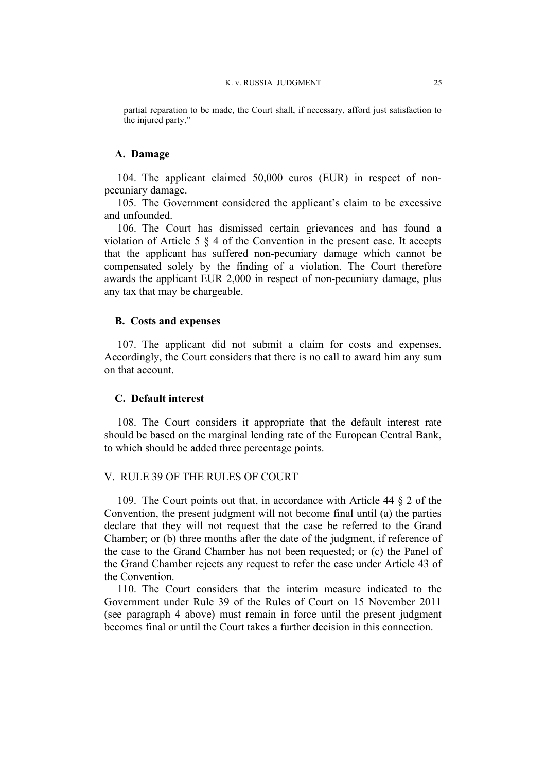partial reparation to be made, the Court shall, if necessary, afford just satisfaction to the injured party."

#### **A. Damage**

104. The applicant claimed 50,000 euros (EUR) in respect of nonpecuniary damage.

105. The Government considered the applicant's claim to be excessive and unfounded.

106. The Court has dismissed certain grievances and has found a violation of Article 5 § 4 of the Convention in the present case. It accepts that the applicant has suffered non-pecuniary damage which cannot be compensated solely by the finding of a violation. The Court therefore awards the applicant EUR 2,000 in respect of non-pecuniary damage, plus any tax that may be chargeable.

## **B. Costs and expenses**

107. The applicant did not submit a claim for costs and expenses. Accordingly, the Court considers that there is no call to award him any sum on that account.

#### **C. Default interest**

108. The Court considers it appropriate that the default interest rate should be based on the marginal lending rate of the European Central Bank, to which should be added three percentage points.

## V. RULE 39 OF THE RULES OF COURT

109. The Court points out that, in accordance with Article 44 § 2 of the Convention, the present judgment will not become final until (a) the parties declare that they will not request that the case be referred to the Grand Chamber; or (b) three months after the date of the judgment, if reference of the case to the Grand Chamber has not been requested; or (c) the Panel of the Grand Chamber rejects any request to refer the case under Article 43 of the Convention.

110. The Court considers that the interim measure indicated to the Government under Rule 39 of the Rules of Court on 15 November 2011 (see paragraph [4](#page-2-0) above) must remain in force until the present judgment becomes final or until the Court takes a further decision in this connection.